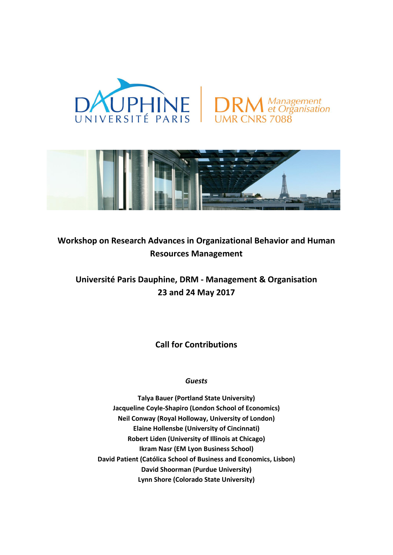



# **Workshop on Research Advances in Organizational Behavior and Human Resources Management**

## **Université Paris Dauphine, DRM - Management & Organisation 23 and 24 May 2017**

**Call for Contributions**

### *Guests*

**Talya Bauer (Portland State University) Jacqueline Coyle-Shapiro (London School of Economics) Neil Conway (Royal Holloway, University of London) Elaine Hollensbe (University of Cincinnati) Robert Liden (University of Illinois at Chicago) Ikram Nasr (EM Lyon Business School) David Patient (Católica School of Business and Economics, Lisbon) David Shoorman (Purdue University) Lynn Shore (Colorado State University)**